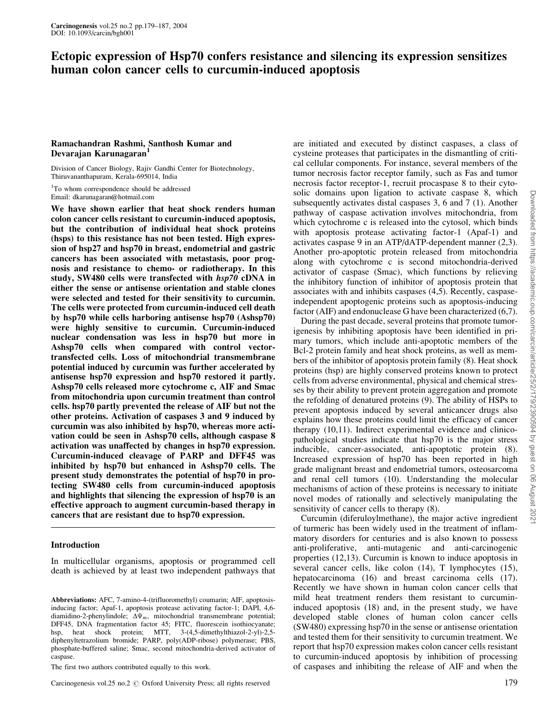# Ectopic expression of Hsp70 confers resistance and silencing its expression sensitizes human colon cancer cells to curcumin-induced apoptosis

## Ramachandran Rashmi, Santhosh Kumar and Devarajan Karunagaran<sup>1</sup>

Division of Cancer Biology, Rajiv Gandhi Center for Biotechnology, Thiruvananthapuram, Kerala-695014, India

<sup>1</sup>To whom correspondence should be addressed Email: dkarunagaran@hotmail.com

We have shown earlier that heat shock renders human colon cancer cells resistant to curcumin-induced apoptosis, but the contribution of individual heat shock proteins (hsps) to this resistance has not been tested. High expression of hsp27 and hsp70 in breast, endometrial and gastric cancers has been associated with metastasis, poor prognosis and resistance to chemo- or radiotherapy. In this study, SW480 cells were transfected with  $hsp70$  cDNA in either the sense or antisense orientation and stable clones were selected and tested for their sensitivity to curcumin. The cells were protected from curcumin-induced cell death by hsp70 while cells harboring antisense hsp70 (Ashsp70) were highly sensitive to curcumin. Curcumin-induced nuclear condensation was less in hsp70 but more in Ashsp70 cells when compared with control vectortransfected cells. Loss of mitochondrial transmembrane potential induced by curcumin was further accelerated by antisense hsp70 expression and hsp70 restored it partly. Ashsp70 cells released more cytochrome c, AIF and Smac from mitochondria upon curcumin treatment than control cells. hsp70 partly prevented the release of AIF but not the other proteins. Activation of caspases 3 and 9 induced by curcumin was also inhibited by hsp70, whereas more activation could be seen in Ashsp70 cells, although caspase 8 activation was unaffected by changes in hsp70 expression. Curcumin-induced cleavage of PARP and DFF45 was inhibited by hsp70 but enhanced in Ashsp70 cells. The present study demonstrates the potential of hsp70 in protecting SW480 cells from curcumin-induced apoptosis and highlights that silencing the expression of hsp70 is an effective approach to augment curcumin-based therapy in cancers that are resistant due to hsp70 expression.

# Introduction

In multicellular organisms, apoptosis or programmed cell death is achieved by at least two independent pathways that

Abbreviations: AFC, 7-amino-4-(trifluoromethyl) coumarin; AIF, apoptosisinducing factor; Apaf-1, apoptosis protease activating factor-1; DAPI, 4,6 diamidino-2-phenylindole;  $\Delta\Psi_m$ , mitochondrial transmembrane potential; DFF45, DNA fragmentation factor 45; FITC, fluorescein isothiocyanate; hsp, heat shock protein; MTT, 3-(4,5-dimethylthiazol-2-yl)-2,5diphenyltetrazolium bromide; PARP, poly(ADP-ribose) polymerase; PBS, phosphate-buffered saline; Smac, second mitochondria-derived activator of caspase.

The first two authors contributed equally to this work.

Carcinogenesis vol.25 no.2  $\odot$  Oxford University Press; all rights reserved 179

are initiated and executed by distinct caspases, a class of cysteine proteases that participates in the dismantling of critical cellular components. For instance, several members of the tumor necrosis factor receptor family, such as Fas and tumor necrosis factor receptor-1, recruit procaspase 8 to their cytosolic domains upon ligation to activate caspase 8, which subsequently activates distal caspases 3, 6 and 7 (1). Another pathway of caspase activation involves mitochondria, from which cytochrome c is released into the cytosol, which binds with apoptosis protease activating factor-1 (Apaf-1) and activates caspase 9 in an ATP/dATP-dependent manner (2,3). Another pro-apoptotic protein released from mitochondria along with cytochrome c is second mitochondria-derived activator of caspase (Smac), which functions by relieving the inhibitory function of inhibitor of apoptosis protein that associates with and inhibits caspases (4,5). Recently, caspaseindependent apoptogenic proteins such as apoptosis-inducing factor (AIF) and endonuclease G have been characterized (6,7).

During the past decade, several proteins that promote tumorigenesis by inhibiting apoptosis have been identified in primary tumors, which include anti-apoptotic members of the Bcl-2 protein family and heat shock proteins, as well as members of the inhibitor of apoptosis protein family (8). Heat shock proteins (hsp) are highly conserved proteins known to protect cells from adverse environmental, physical and chemical stresses by their ability to prevent protein aggregation and promote the refolding of denatured proteins (9). The ability of HSPs to prevent apoptosis induced by several anticancer drugs also explains how these proteins could limit the efficacy of cancer therapy (10,11). Indirect experimental evidence and clinicopathological studies indicate that hsp70 is the major stress inducible, cancer-associated, anti-apoptotic protein (8). Increased expression of hsp70 has been reported in high grade malignant breast and endometrial tumors, osteosarcoma and renal cell tumors (10). Understanding the molecular mechanisms of action of these proteins is necessary to initiate novel modes of rationally and selectively manipulating the sensitivity of cancer cells to therapy (8).

Curcumin (diferuloylmethane), the major active ingredient of turmeric has been widely used in the treatment of inflammatory disorders for centuries and is also known to possess anti-proliferative, anti-mutagenic and anti-carcinogenic properties (12,13). Curcumin is known to induce apoptosis in several cancer cells, like colon (14), T lymphocytes (15), hepatocarcinoma (16) and breast carcinoma cells (17). Recently we have shown in human colon cancer cells that mild heat treatment renders them resistant to curcumininduced apoptosis (18) and, in the present study, we have developed stable clones of human colon cancer cells (SW480) expressing hsp70 in the sense or antisense orientation and tested them for their sensitivity to curcumin treatment. We report that hsp70 expression makes colon cancer cells resistant to curcumin-induced apoptosis by inhibition of processing of caspases and inhibiting the release of AIF and when the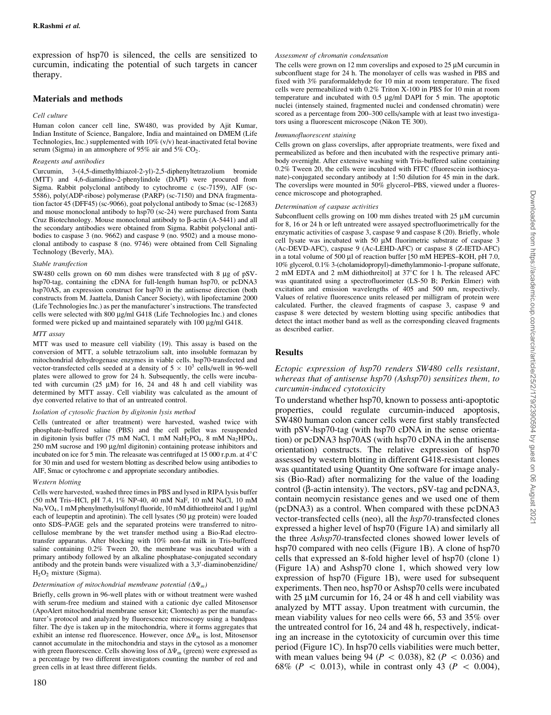expression of hsp70 is silenced, the cells are sensitized to curcumin, indicating the potential of such targets in cancer therapy.

### Materials and methods

#### Cell culture

Human colon cancer cell line, SW480, was provided by Ajit Kumar, Indian Institute of Science, Bangalore, India and maintained on DMEM (Life Technologies, Inc.) supplemented with 10% (v/v) heat-inactivated fetal bovine serum (Sigma) in an atmosphere of  $95\%$  air and  $5\%$  CO<sub>2</sub>.

#### Reagents and antibodies

Curcumin, 3-(4,5-dimethylthiazol-2-yl)-2,5-diphenyltetrazolium bromide (MTT) and 4,6-diamidino-2-phenylindole (DAPI) were procured from Sigma. Rabbit polyclonal antibody to cytochrome c (sc-7159), AIF (sc-5586), poly(ADP-ribose) polymerase (PARP) (sc-7150) and DNA fragmentation factor 45 (DFF45) (sc-9066), goat polyclonal antibody to Smac (sc-12683) and mouse monoclonal antibody to hsp70 (sc-24) were purchased from Santa Cruz Biotechnology. Mouse monoclonal antibody to  $\beta$ -actin (A-5441) and all the secondary antibodies were obtained from Sigma. Rabbit polyclonal antibodies to caspase 3 (no. 9662) and caspase 9 (no. 9502) and a mouse monoclonal antibody to caspase 8 (no. 9746) were obtained from Cell Signaling Technology (Beverly, MA).

#### Stable transfection

SW480 cells grown on 60 mm dishes were transfected with 8  $\mu$ g of pSVhsp70-tag, containing the cDNA for full-length human hsp70, or pcDNA3 hsp70AS, an expression construct for hsp70 in the antisense direction (both constructs from M. Jaattela, Danish Cancer Society), with lipofectamine 2000 (Life Technologies Inc.) as per the manufacturer's instructions. The transfected cells were selected with  $800 \mu g/ml$  G418 (Life Technologies Inc.) and clones formed were picked up and maintained separately with  $100 \mu g/ml G418$ .

#### MTT assay

MTT was used to measure cell viability (19). This assay is based on the conversion of MTT, a soluble tetrazolium salt, into insoluble formazan by mitochondrial dehydrogenase enzymes in viable cells. hsp70-transfected and vector-transfected cells seeded at a density of  $5 \times 10^3$  cells/well in 96-well plates were allowed to grow for 24 h. Subsequently, the cells were incubated with curcumin  $(25 \mu M)$  for 16, 24 and 48 h and cell viability was determined by MTT assay. Cell viability was calculated as the amount of dye converted relative to that of an untreated control.

#### Isolation of cytosolic fraction by digitonin lysis method

Cells (untreated or after treatment) were harvested, washed twice with phosphate-buffered saline (PBS) and the cell pellet was resuspended in digitonin lysis buffer (75 mM NaCl, 1 mM NaH<sub>2</sub>PO<sub>4</sub>, 8 mM Na<sub>2</sub>HPO<sub>4</sub>, 250 mM sucrose and 190 µg/ml digitonin) containing protease inhibitors and incubated on ice for 5 min. The releasate was centrifuged at 15 000 r.p.m. at  $4^{\circ}$ C for 30 min and used for western blotting as described below using antibodies to AIF, Smac or cytochrome c and appropriate secondary antibodies.

#### Western blotting

Cells were harvested, washed three times in PBS and lysed in RIPA lysis buffer (50 mM Tris±HCl, pH 7.4, 1% NP-40, 40 mM NaF, 10 mM NaCl, 10 mM  $Na_3VO_4$ , 1 mM phenylmethylsulfonyl fluoride, 10 mM dithiothreitol and 1 µg/ml each of leupeptin and aprotinin). The cell lysates  $(50 \mu g)$  protein) were loaded onto SDS-PAGE gels and the separated proteins were transferred to nitrocellulose membrane by the wet transfer method using a Bio-Rad electrotransfer apparatus. After blocking with 10% non-fat milk in Tris-buffered saline containing 0.2% Tween 20, the membrane was incubated with a primary antibody followed by an alkaline phosphatase-conjugated secondary antibody and the protein bands were visualized with a 3,3'-diaminobenzidine/  $H_2O_2$  mixture (Sigma).

#### Determination of mitochondrial membrane potential  $(\Delta \Psi_m)$

Briefly, cells grown in 96-well plates with or without treatment were washed with serum-free medium and stained with a cationic dye called Mitosensor (ApoAlert mitochondrial membrane sensor kit; Clontech) as per the manufacturer's protocol and analyzed by fluorescence microscopy using a bandpass filter. The dye is taken up in the mitochondria, where it forms aggregates that exhibit an intense red fluorescence. However, once  $\Delta\Psi_m$  is lost, Mitosensor cannot accumulate in the mitochondria and stays in the cytosol as a monomer with green fluorescence. Cells showing loss of  $\Delta\Psi_{\rm m}$  (green) were expressed as a percentage by two different investigators counting the number of red and green cells in at least three different fields.

#### Assessment of chromatin condensation

The cells were grown on 12 mm coverslips and exposed to 25  $\mu$ M curcumin in subconfluent stage for 24 h. The monolayer of cells was washed in PBS and fixed with 3% paraformaldehyde for 10 min at room temperature. The fixed cells were permeabilized with 0.2% Triton X-100 in PBS for 10 min at room temperature and incubated with  $0.5 \mu g/ml$  DAPI for 5 min. The apoptotic nuclei (intensely stained, fragmented nuclei and condensed chromatin) were scored as a percentage from 200–300 cells/sample with at least two investigators using a fluorescent microscope (Nikon TE 300).

#### Immunofluorescent staining

Cells grown on glass coverslips, after appropriate treatments, were fixed and permeabilized as before and then incubated with the respective primary antibody overnight. After extensive washing with Tris-buffered saline containing 0.2% Tween 20, the cells were incubated with FITC (fluorescein isothiocyanate)-conjugated secondary antibody at 1:50 dilution for 45 min in the dark. The coverslips were mounted in 50% glycerol-PBS, viewed under a fluorescence microscope and photographed.

#### Determination of caspase activities

Subconfluent cells growing on 100 mm dishes treated with  $25 \mu M$  curcumin for 8, 16 or 24 h or left untreated were assayed spectrofluorimetrically for the enzymatic activities of caspase 3, caspase 9 and caspase 8 (20). Briefly, whole cell lysate was incubated with 50  $\mu$ M fluorimetric substrate of caspase 3 (Ac-DEVD-AFC), caspase 9 (Ac-LEHD-AFC) or caspase 8 (Z-IETD-AFC) in a total volume of 500 µl of reaction buffer [50 mM HEPES-KOH, pH 7.0, 10% glycerol, 0.1% 3-(cholamidopropyl)-dimethylammonio-1-propane sulfonate, 2 mM EDTA and 2 mM dithiothreitol] at  $37^{\circ}$ C for 1 h. The released AFC was quantitated using a spectrofluorimeter (LS-50 B; Perkin Elmer) with excitation and emission wavelengths of 405 and 500 nm, respectively. Values of relative fluorescence units released per milligram of protein were calculated. Further, the cleaved fragments of caspase 3, caspase 9 and caspase 8 were detected by western blotting using specific antibodies that detect the intact mother band as well as the corresponding cleaved fragments as described earlier.

### Results

### Ectopic expression of hsp70 renders SW480 cells resistant, whereas that of antisense hsp70 (Ashsp70) sensitizes them, to curcumin-induced cytotoxicity

To understand whether hsp70, known to possess anti-apoptotic properties, could regulate curcumin-induced apoptosis, SW480 human colon cancer cells were first stably transfected with pSV-hsp70-tag (with hsp70 cDNA in the sense orientation) or pcDNA3 hsp70AS (with hsp70 cDNA in the antisense orientation) constructs. The relative expression of hsp70 assessed by western blotting in different G418-resistant clones was quantitated using Quantity One software for image analysis (Bio-Rad) after normalizing for the value of the loading control ( $\beta$ -actin intensity). The vectors, pSV-tag and pcDNA3, contain neomycin resistance genes and we used one of them (pcDNA3) as a control. When compared with these pcDNA3 vector-transfected cells (neo), all the hsp70-transfected clones expressed a higher level of hsp70 (Figure 1A) and similarly all the three Ashsp70-transfected clones showed lower levels of hsp70 compared with neo cells (Figure 1B). A clone of hsp70 cells that expressed an 8-fold higher level of hsp70 (clone 1) (Figure 1A) and Ashsp70 clone 1, which showed very low expression of hsp70 (Figure 1B), were used for subsequent experiments. Then neo, hsp70 or Ashsp70 cells were incubated with  $25 \mu M$  curcumin for 16, 24 or 48 h and cell viability was analyzed by MTT assay. Upon treatment with curcumin, the mean viability values for neo cells were 66, 53 and 35% over the untreated control for 16, 24 and 48 h, respectively, indicating an increase in the cytotoxicity of curcumin over this time period (Figure 1C). In hsp70 cells viabilities were much better, with mean values being 94 ( $P < 0.038$ ), 82 ( $P < 0.036$ ) and 68% ( $P < 0.013$ ), while in contrast only 43 ( $P < 0.004$ ),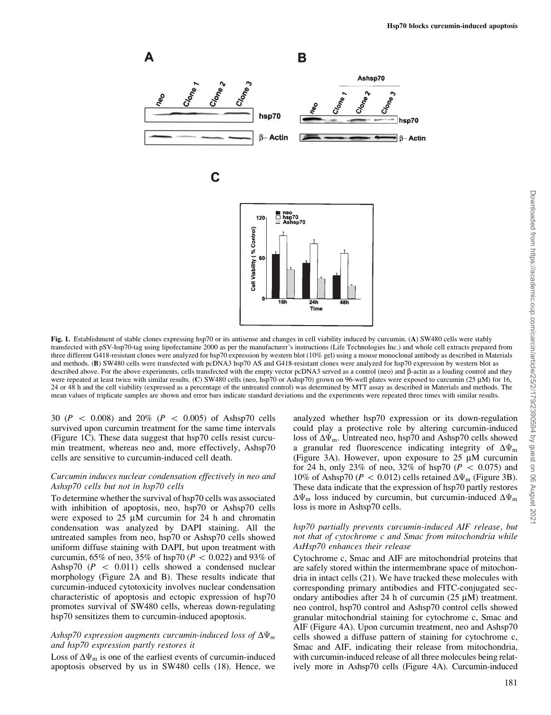

Fig. 1. Establishment of stable clones expressing hsp70 or its antisense and changes in cell viability induced by curcumin. (A) SW480 cells were stably transfected with pSV-hsp70-tag using lipofectamine 2000 as per the manufacturer's instructions (Life Technologies Inc.) and whole cell extracts prepared from three different G418-resistant clones were analyzed for hsp70 expression by western blot (10% gel) using a mouse monoclonal antibody as described in Materials and methods. (B) SW480 cells were transfected with pcDNA3 hsp70 AS and G418-resistant clones were analyzed for hsp70 expression by western blot as described above. For the above experiments, cells transfected with the empty vector pcDNA3 served as a control (neo) and  $\beta$ -actin as a loading control and they were repeated at least twice with similar results. (C) SW480 cells (neo, hsp70 or Ashsp70) grown on 96-well plates were exposed to curcumin (25 µM) for 16, 24 or 48 h and the cell viability (expressed as a percentage of the untreated control) was determined by MTT assay as described in Materials and methods. The mean values of triplicate samples are shown and error bars indicate standard deviations and the experiments were repeated three times with similar results.

30 ( $P < 0.008$ ) and 20% ( $P < 0.005$ ) of Ashsp70 cells survived upon curcumin treatment for the same time intervals (Figure 1C). These data suggest that hsp70 cells resist curcumin treatment, whereas neo and, more effectively, Ashsp70 cells are sensitive to curcumin-induced cell death.

### Curcumin induces nuclear condensation effectively in neo and Ashsp70 cells but not in hsp70 cells

To determine whether the survival of hsp70 cells was associated with inhibition of apoptosis, neo, hsp70 or Ashsp70 cells were exposed to  $25 \mu M$  curcumin for  $24$  h and chromatin condensation was analyzed by DAPI staining. All the untreated samples from neo, hsp70 or Ashsp70 cells showed uniform diffuse staining with DAPI, but upon treatment with curcumin, 65% of neo, 35% of hsp70 ( $P < 0.022$ ) and 93% of Ashsp70  $(P < 0.011)$  cells showed a condensed nuclear morphology (Figure 2A and B). These results indicate that curcumin-induced cytotoxicity involves nuclear condensation characteristic of apoptosis and ectopic expression of hsp70 promotes survival of SW480 cells, whereas down-regulating hsp70 sensitizes them to curcumin-induced apoptosis.

### Ashsp70 expression augments curcumin-induced loss of  $\Delta\Psi_m$ and hsp70 expression partly restores it

Loss of  $\Delta \Psi_m$  is one of the earliest events of curcumin-induced apoptosis observed by us in SW480 cells (18). Hence, we

analyzed whether hsp70 expression or its down-regulation could play a protective role by altering curcumin-induced loss of  $\Delta\Psi_m$ . Untreated neo, hsp70 and Ashsp70 cells showed a granular red fluorescence indicating integrity of  $\Delta\Psi_m$ (Figure 3A). However, upon exposure to  $25 \mu M$  curcumin for 24 h, only 23% of neo, 32% of hsp70 ( $P < 0.075$ ) and 10% of Ashsp70 ( $P < 0.012$ ) cells retained  $\Delta \Psi_{\rm m}$  (Figure 3B). These data indicate that the expression of hsp70 partly restores  $\Delta\Psi_{\rm m}$  loss induced by curcumin, but curcumin-induced  $\Delta\Psi_{\rm m}$ loss is more in Ashsp70 cells.

### hsp70 partially prevents curcumin-induced AIF release, but not that of cytochrome c and Smac from mitochondria while AsHsp70 enhances their release

Cytochrome c, Smac and AIF are mitochondrial proteins that are safely stored within the intermembrane space of mitochondria in intact cells (21). We have tracked these molecules with corresponding primary antibodies and FITC-conjugated secondary antibodies after 24 h of curcumin (25  $\mu$ M) treatment. neo control, hsp70 control and Ashsp70 control cells showed granular mitochondrial staining for cytochrome c, Smac and AIF (Figure 4A). Upon curcumin treatment, neo and Ashsp70 cells showed a diffuse pattern of staining for cytochrome c, Smac and AIF, indicating their release from mitochondria, with curcumin-induced release of all three molecules being relatively more in Ashsp70 cells (Figure 4A). Curcumin-induced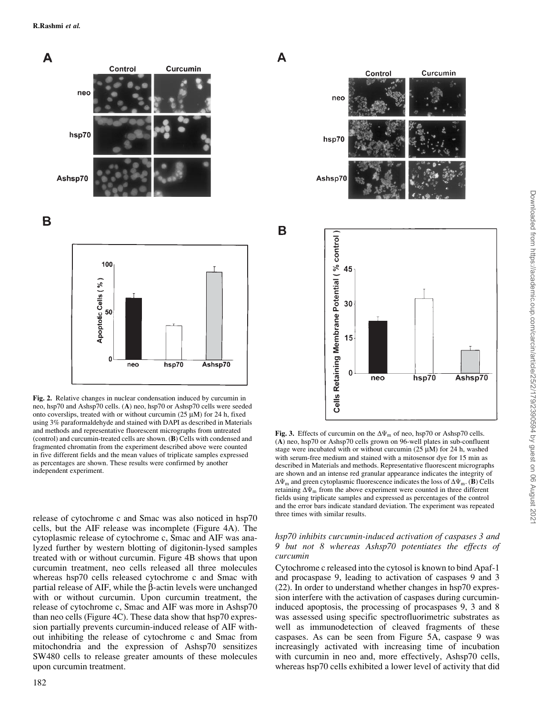





Fig. 2. Relative changes in nuclear condensation induced by curcumin in neo, hsp70 and Ashsp70 cells. (A) neo, hsp70 or Ashsp70 cells were seeded onto coverslips, treated with or without curcumin ( $25 \mu M$ ) for 24 h, fixed using 3% paraformaldehyde and stained with DAPI as described in Materials and methods and representative fluorescent micrographs from untreated (control) and curcumin-treated cells are shown. (B) Cells with condensed and fragmented chromatin from the experiment described above were counted in five different fields and the mean values of triplicate samples expressed as percentages are shown. These results were confirmed by another independent experiment.

release of cytochrome c and Smac was also noticed in hsp70 cells, but the AIF release was incomplete (Figure 4A). The cytoplasmic release of cytochrome c, Smac and AIF was analyzed further by western blotting of digitonin-lysed samples treated with or without curcumin. Figure 4B shows that upon curcumin treatment, neo cells released all three molecules whereas hsp70 cells released cytochrome c and Smac with partial release of AIF, while the  $\beta$ -actin levels were unchanged with or without curcumin. Upon curcumin treatment, the release of cytochrome c, Smac and AIF was more in Ashsp70 than neo cells (Figure 4C). These data show that hsp70 expression partially prevents curcumin-induced release of AIF without inhibiting the release of cytochrome c and Smac from mitochondria and the expression of Ashsp70 sensitizes SW480 cells to release greater amounts of these molecules upon curcumin treatment.



A

<sub>B</sub>



Fig. 3. Effects of curcumin on the  $\Delta\Psi_m$  of neo, hsp70 or Ashsp70 cells.  $(A)$  neo, hsp70 or Ashsp70 cells grown on 96-well plates in sub-confluent stage were incubated with or without curcumin  $(25 \mu M)$  for 24 h, washed with serum-free medium and stained with a mitosensor dye for 15 min as described in Materials and methods. Representative fluorescent micrographs are shown and an intense red granular appearance indicates the integrity of  $\Delta\Psi_m$  and green cytoplasmic fluorescence indicates the loss of  $\Delta\Psi_m$ . (B) Cells retaining  $\Delta\Psi_m$  from the above experiment were counted in three different fields using triplicate samples and expressed as percentages of the control and the error bars indicate standard deviation. The experiment was repeated three times with similar results.

### hsp70 inhibits curcumin-induced activation of caspases 3 and 9 but not 8 whereas Ashsp70 potentiates the effects of curcumin

Cytochrome c released into the cytosol is known to bind Apaf-1 and procaspase 9, leading to activation of caspases 9 and 3 (22). In order to understand whether changes in hsp70 expression interfere with the activation of caspases during curcumininduced apoptosis, the processing of procaspases 9, 3 and 8 was assessed using specific spectrofluorimetric substrates as well as immunodetection of cleaved fragments of these caspases. As can be seen from Figure 5A, caspase 9 was increasingly activated with increasing time of incubation with curcumin in neo and, more effectively, Ashsp70 cells, whereas hsp70 cells exhibited a lower level of activity that did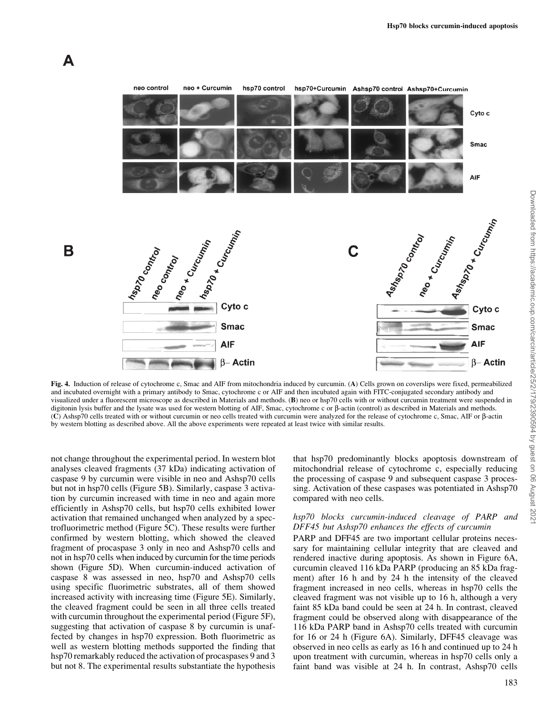

Fig. 4. Induction of release of cytochrome c, Smac and AIF from mitochondria induced by curcumin. (A) Cells grown on coverslips were fixed, permeabilized and incubated overnight with a primary antibody to Smac, cytochrome c or AIF and then incubated again with FITC-conjugated secondary antibody and visualized under a fluorescent microscope as described in Materials and methods. (B) neo or hsp70 cells with or without curcumin treatment were suspended in digitonin lysis buffer and the lysate was used for western blotting of AIF, Smac, cytochrome c or  $\beta$ -actin (control) as described in Materials and methods. (C) Ashsp70 cells treated with or without curcumin or neo cells treated with curcumin were analyzed for the release of cytochrome c, Smac, AIF or b-actin by western blotting as described above. All the above experiments were repeated at least twice with similar results.

not change throughout the experimental period. In western blot analyses cleaved fragments (37 kDa) indicating activation of caspase 9 by curcumin were visible in neo and Ashsp70 cells but not in hsp70 cells (Figure 5B). Similarly, caspase 3 activation by curcumin increased with time in neo and again more efficiently in Ashsp70 cells, but hsp70 cells exhibited lower activation that remained unchanged when analyzed by a spectrofluorimetric method (Figure 5C). These results were further confirmed by western blotting, which showed the cleaved fragment of procaspase 3 only in neo and Ashsp70 cells and not in hsp70 cells when induced by curcumin for the time periods shown (Figure 5D). When curcumin-induced activation of caspase 8 was assessed in neo, hsp70 and Ashsp70 cells using specific fluorimetric substrates, all of them showed increased activity with increasing time (Figure 5E). Similarly, the cleaved fragment could be seen in all three cells treated with curcumin throughout the experimental period (Figure 5F), suggesting that activation of caspase 8 by curcumin is unaffected by changes in hsp70 expression. Both fluorimetric as well as western blotting methods supported the finding that hsp70 remarkably reduced the activation of procaspases 9 and 3 but not 8. The experimental results substantiate the hypothesis

A

that hsp70 predominantly blocks apoptosis downstream of mitochondrial release of cytochrome c, especially reducing the processing of caspase 9 and subsequent caspase 3 processing. Activation of these caspases was potentiated in Ashsp70 compared with neo cells.

### hsp70 blocks curcumin-induced cleavage of PARP and DFF45 but Ashsp70 enhances the effects of curcumin

PARP and DFF45 are two important cellular proteins necessary for maintaining cellular integrity that are cleaved and rendered inactive during apoptosis. As shown in Figure 6A, curcumin cleaved 116 kDa PARP (producing an 85 kDa fragment) after 16 h and by 24 h the intensity of the cleaved fragment increased in neo cells, whereas in hsp70 cells the cleaved fragment was not visible up to 16 h, although a very faint 85 kDa band could be seen at 24 h. In contrast, cleaved fragment could be observed along with disappearance of the 116 kDa PARP band in Ashsp70 cells treated with curcumin for 16 or 24 h (Figure 6A). Similarly, DFF45 cleavage was observed in neo cells as early as 16 h and continued up to 24 h upon treatment with curcumin, whereas in hsp70 cells only a faint band was visible at 24 h. In contrast, Ashsp70 cells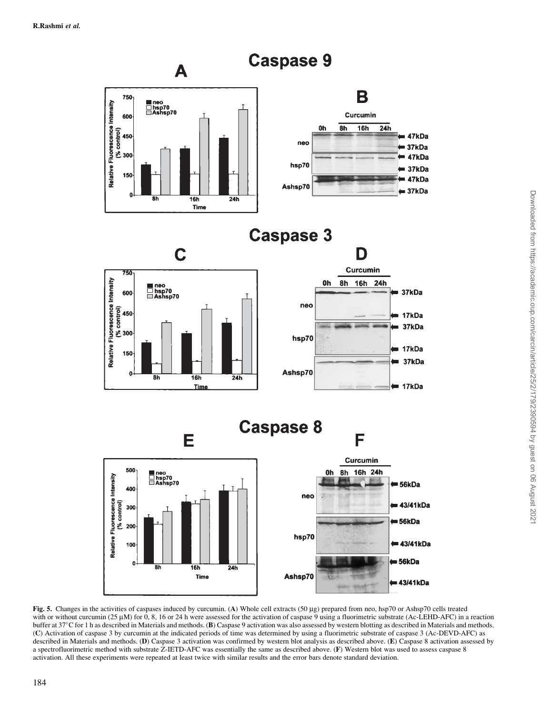

Fig. 5. Changes in the activities of caspases induced by curcumin. (A) Whole cell extracts (50 µg) prepared from neo, hsp70 or Ashsp70 cells treated with or without curcumin (25 µM) for 0, 8, 16 or 24 h were assessed for the activation of caspase 9 using a fluorimetric substrate (Ac-LEHD-AFC) in a reaction buffer at 37°C for 1 h as described in Materials and methods. (B) Caspase 9 activation was also assessed by western blotting as described in Materials and methods. (C) Activation of caspase 3 by curcumin at the indicated periods of time was determined by using a fluorimetric substrate of caspase 3 (Ac-DEVD-AFC) as described in Materials and methods. (D) Caspase 3 activation was confirmed by western blot analysis as described above. (E) Caspase 8 activation assessed by a spectrofluorimetric method with substrate Z-IETD-AFC was essentially the same as described above. (F) Western blot was used to assess caspase 8 activation. All these experiments were repeated at least twice with similar results and the error bars denote standard deviation.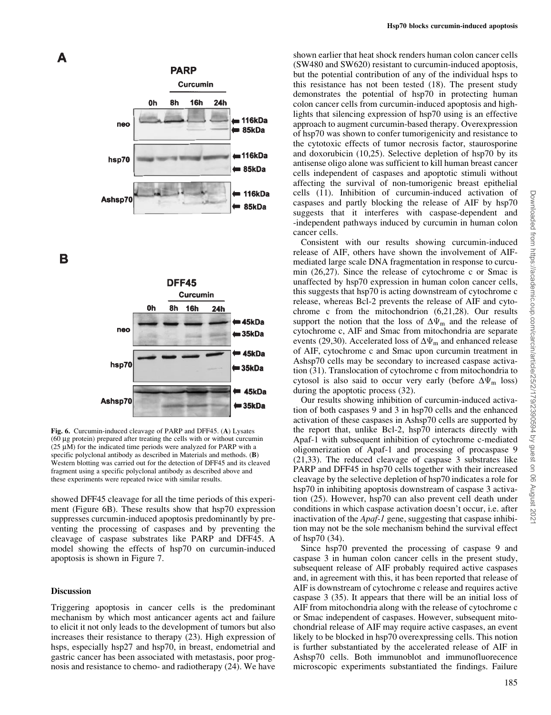

B



Fig. 6. Curcumin-induced cleavage of PARP and DFF45. (A) Lysates (60 mg protein) prepared after treating the cells with or without curcumin ( $25 \mu M$ ) for the indicated time periods were analyzed for PARP with a specific polyclonal antibody as described in Materials and methods. (B) Western blotting was carried out for the detection of DFF45 and its cleaved fragment using a specific polyclonal antibody as described above and these experiments were repeated twice with similar results.

showed DFF45 cleavage for all the time periods of this experiment (Figure 6B). These results show that hsp70 expression suppresses curcumin-induced apoptosis predominantly by preventing the processing of caspases and by preventing the cleavage of caspase substrates like PARP and DFF45. A model showing the effects of hsp70 on curcumin-induced apoptosis is shown in Figure 7.

### **Discussion**

Triggering apoptosis in cancer cells is the predominant mechanism by which most anticancer agents act and failure to elicit it not only leads to the development of tumors but also increases their resistance to therapy (23). High expression of hsps, especially hsp27 and hsp70, in breast, endometrial and gastric cancer has been associated with metastasis, poor prognosis and resistance to chemo- and radiotherapy (24). We have

shown earlier that heat shock renders human colon cancer cells (SW480 and SW620) resistant to curcumin-induced apoptosis, but the potential contribution of any of the individual hsps to this resistance has not been tested (18). The present study demonstrates the potential of hsp70 in protecting human colon cancer cells from curcumin-induced apoptosis and highlights that silencing expression of hsp70 using is an effective approach to augment curcumin-based therapy. Overexpression of hsp70 was shown to confer tumorigenicity and resistance to the cytotoxic effects of tumor necrosis factor, staurosporine and doxorubicin (10,25). Selective depletion of hsp70 by its antisense oligo alone was sufficient to kill human breast cancer cells independent of caspases and apoptotic stimuli without affecting the survival of non-tumorigenic breast epithelial cells (11). Inhibition of curcumin-induced activation of caspases and partly blocking the release of AIF by hsp70 suggests that it interferes with caspase-dependent and -independent pathways induced by curcumin in human colon cancer cells.

Consistent with our results showing curcumin-induced release of AIF, others have shown the involvement of AIFmediated large scale DNA fragmentation in response to curcumin (26,27). Since the release of cytochrome c or Smac is unaffected by hsp70 expression in human colon cancer cells, this suggests that hsp70 is acting downstream of cytochrome c release, whereas Bcl-2 prevents the release of AIF and cytochrome c from the mitochondrion (6,21,28). Our results support the notion that the loss of  $\Delta\Psi_m$  and the release of cytochrome c, AIF and Smac from mitochondria are separate events (29,30). Accelerated loss of  $\Delta\Psi_m$  and enhanced release of AIF, cytochrome c and Smac upon curcumin treatment in Ashsp70 cells may be secondary to increased caspase activation (31). Translocation of cytochrome c from mitochondria to cytosol is also said to occur very early (before  $\Delta\Psi_m$  loss) during the apoptotic process (32).

Our results showing inhibition of curcumin-induced activation of both caspases 9 and 3 in hsp70 cells and the enhanced activation of these caspases in Ashsp70 cells are supported by the report that, unlike Bcl-2, hsp70 interacts directly with Apaf-1 with subsequent inhibition of cytochrome c-mediated oligomerization of Apaf-1 and processing of procaspase 9 (21,33). The reduced cleavage of caspase 3 substrates like PARP and DFF45 in hsp70 cells together with their increased cleavage by the selective depletion of hsp70 indicates a role for hsp70 in inhibiting apoptosis downstream of caspase 3 activation (25). However, hsp70 can also prevent cell death under conditions in which caspase activation doesn't occur, i.e. after inactivation of the *Apaf-1* gene, suggesting that caspase inhibition may not be the sole mechanism behind the survival effect of hsp70 (34).

Since hsp70 prevented the processing of caspase 9 and caspase 3 in human colon cancer cells in the present study, subsequent release of AIF probably required active caspases and, in agreement with this, it has been reported that release of AIF is downstream of cytochrome c release and requires active caspase 3 (35). It appears that there will be an initial loss of AIF from mitochondria along with the release of cytochrome c or Smac independent of caspases. However, subsequent mitochondrial release of AIF may require active caspases, an event likely to be blocked in hsp70 overexpressing cells. This notion is further substantiated by the accelerated release of AIF in Ashsp70 cells. Both immunoblot and immunofluorecence microscopic experiments substantiated the findings. Failure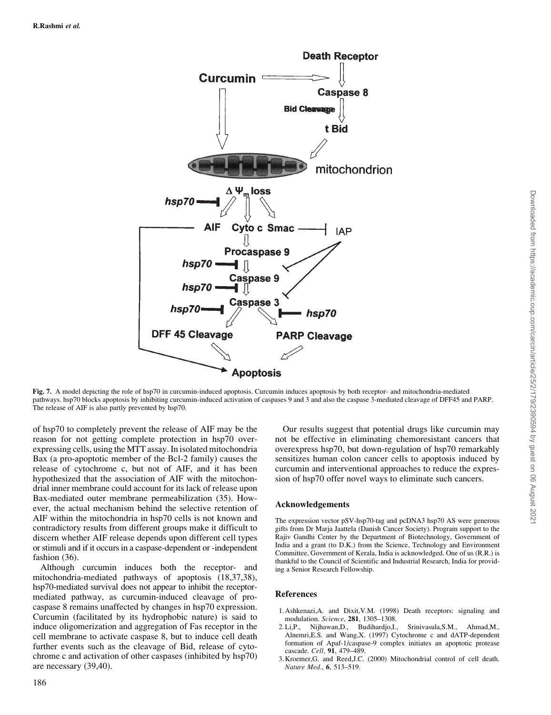

Fig. 7. A model depicting the role of hsp70 in curcumin-induced apoptosis. Curcumin induces apoptosis by both receptor- and mitochondria-mediated pathways. hsp70 blocks apoptosis by inhibiting curcumin-induced activation of caspases 9 and 3 and also the caspase 3-mediated cleavage of DFF45 and PARP. The release of AIF is also partly prevented by hsp70.

of hsp70 to completely prevent the release of AIF may be the reason for not getting complete protection in hsp70 overexpressing cells, using the MTT assay. In isolated mitochondria Bax (a pro-apoptotic member of the Bcl-2 family) causes the release of cytochrome c, but not of AIF, and it has been hypothesized that the association of AIF with the mitochondrial inner membrane could account for its lack of release upon Bax-mediated outer membrane permeabilization (35). However, the actual mechanism behind the selective retention of AIF within the mitochondria in hsp70 cells is not known and contradictory results from different groups make it difficult to discern whether AIF release depends upon different cell types or stimuli and if it occurs in a caspase-dependent or -independent fashion (36).

Although curcumin induces both the receptor- and mitochondria-mediated pathways of apoptosis (18,37,38), hsp70-mediated survival does not appear to inhibit the receptormediated pathway, as curcumin-induced cleavage of procaspase 8 remains unaffected by changes in hsp70 expression. Curcumin (facilitated by its hydrophobic nature) is said to induce oligomerization and aggregation of Fas receptor in the cell membrane to activate caspase 8, but to induce cell death further events such as the cleavage of Bid, release of cytochrome c and activation of other caspases (inhibited by hsp70) are necessary (39,40).

Our results suggest that potential drugs like curcumin may not be effective in eliminating chemoresistant cancers that overexpress hsp70, but down-regulation of hsp70 remarkably sensitizes human colon cancer cells to apoptosis induced by curcumin and interventional approaches to reduce the expression of hsp70 offer novel ways to eliminate such cancers.

### Acknowledgements

The expression vector pSV-hsp70-tag and pcDNA3 hsp70 AS were generous gifts from Dr Marja Jaattela (Danish Cancer Society). Program support to the Rajiv Gandhi Center by the Department of Biotechnology, Government of India and a grant (to D.K.) from the Science, Technology and Environment Committee, Government of Kerala, India is acknowledged. One of us (R.R.) is thankful to the Council of Scientific and Industrial Research, India for providing a Senior Research Fellowship.

### References

- 1. Ashkenazi,A. and Dixit,V.M. (1998) Death receptors: signaling and modulation. Science, 281, 1305-1308.
- 2. Li,P., Nijhawan,D., Budihardjo,I., Srinivasula,S.M., Ahmad,M., Alnemri,E.S. and Wang,X. (1997) Cytochrome c and dATP-dependent formation of Apaf-1/caspase-9 complex initiates an apoptotic protease cascade. Cell.  $91, 479-489$ .
- 3. Kroemer,G. and Reed,J.C. (2000) Mitochondrial control of cell death. Nature Med., 6, 513-519.